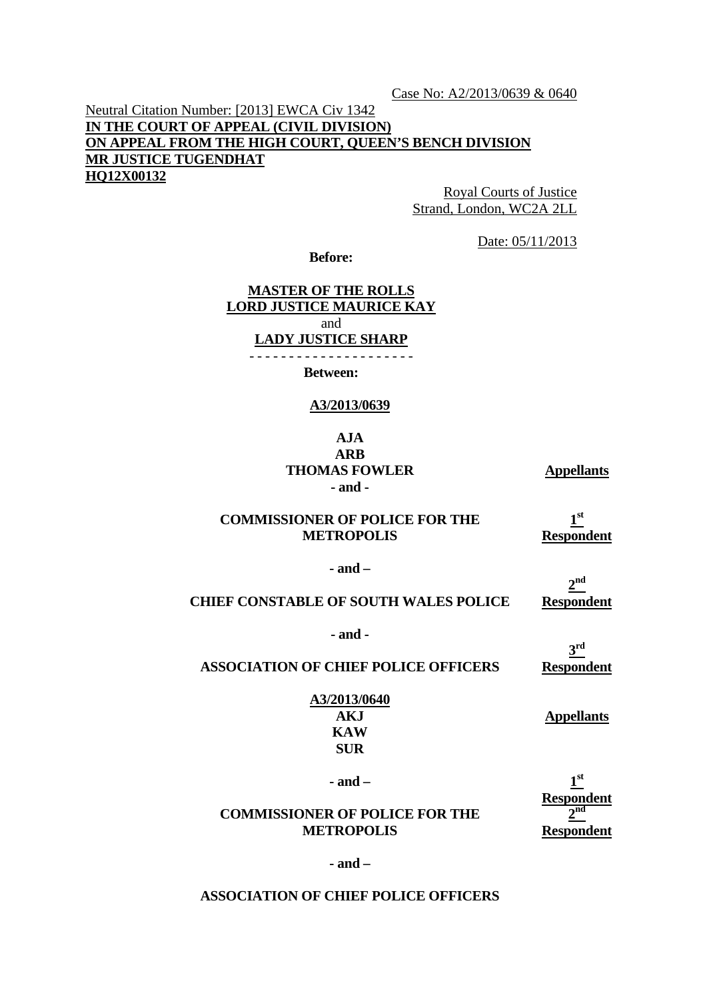Case No: A2/2013/0639 & 0640

Neutral Citation Number: [2013] EWCA Civ 1342 **IN THE COURT OF APPEAL (CIVIL DIVISION) ON APPEAL FROM THE HIGH COURT, QUEEN'S BENCH DIVISION MR JUSTICE TUGENDHAT HQ12X00132** 

> Royal Courts of Justice Strand, London, WC2A 2LL

> > Date: 05/11/2013

**Before:** 

# **MASTER OF THE ROLLS LORD JUSTICE MAURICE KAY**  and

**LADY JUSTICE SHARP**  - - - - - - - - - - - - - - - - - - - - -

#### **Between:**

#### **A3/2013/0639**

# **AJA ARB THOMAS FOWLER Appellants - and -**

# **COMMISSIONER OF POLICE FOR THE METROPOLIS**

**1st Respondent** 

**2nd**

**3rd Respondent** 

**- and –** 

**CHIEF CONSTABLE OF SOUTH WALES POLICE Respondent** 

**- and -** 

**ASSOCIATION OF CHIEF POLICE OFFICERS** 

**Appellants** 

 **A3/2013/0640 AKJ KAW SUR** 

#### **COMMISSIONER OF POLICE FOR THE METROPOLIS**

 $-$  and  $-$ **Respondent**   $2<sup>nd</sup>$ **Respondent** 

**- and –** 

**ASSOCIATION OF CHIEF POLICE OFFICERS**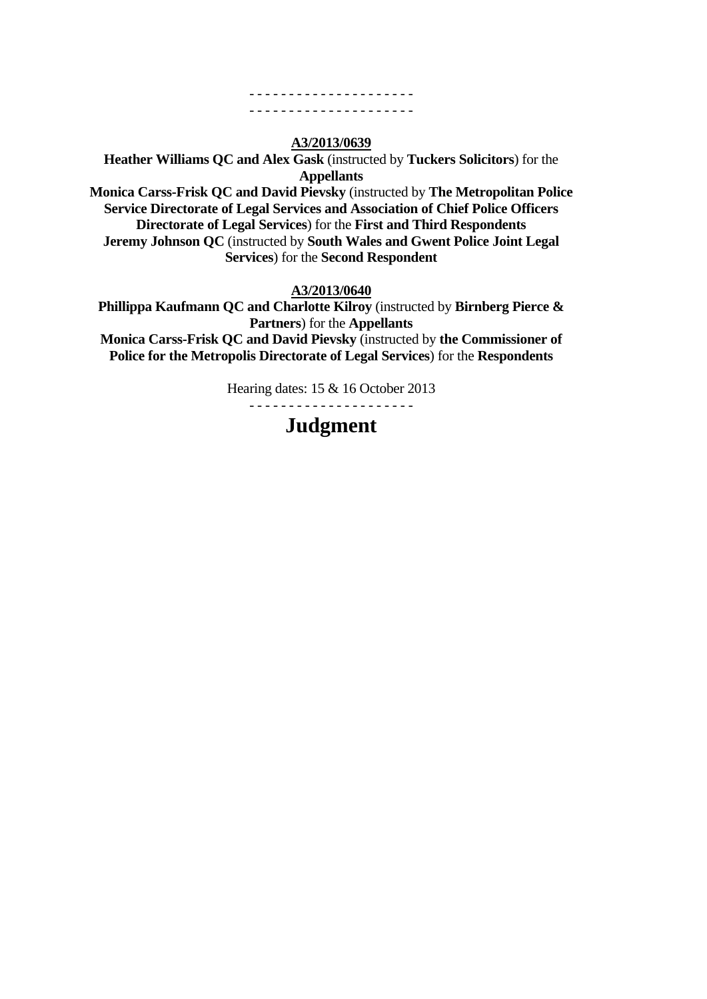#### **A3/2013/0639**

- - - - - - - - - - - - - - - - - - - - - - - - - - - - - - - - - - - - - - - - - -

**Heather Williams QC and Alex Gask** (instructed by **Tuckers Solicitors**) for the **Appellants** 

**Monica Carss-Frisk QC and David Pievsky** (instructed by **The Metropolitan Police Service Directorate of Legal Services and Association of Chief Police Officers Directorate of Legal Services**) for the **First and Third Respondents Jeremy Johnson QC** (instructed by **South Wales and Gwent Police Joint Legal Services**) for the **Second Respondent** 

#### **A3/2013/0640**

**Phillippa Kaufmann QC and Charlotte Kilroy** (instructed by **Birnberg Pierce & Partners**) for the **Appellants**

**Monica Carss-Frisk QC and David Pievsky** (instructed by **the Commissioner of Police for the Metropolis Directorate of Legal Services**) for the **Respondents**

Hearing dates: 15 & 16 October 2013

# **Judgment**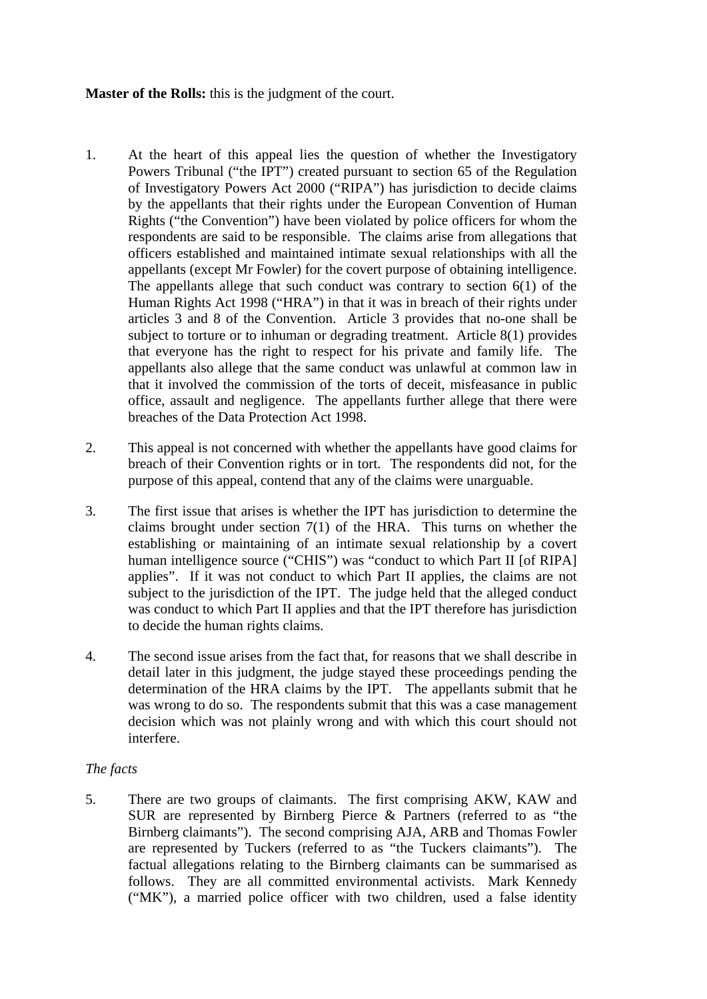# **Master of the Rolls:** this is the judgment of the court.

- 1. At the heart of this appeal lies the question of whether the Investigatory Powers Tribunal ("the IPT") created pursuant to section 65 of the Regulation of Investigatory Powers Act 2000 ("RIPA") has jurisdiction to decide claims by the appellants that their rights under the European Convention of Human Rights ("the Convention") have been violated by police officers for whom the respondents are said to be responsible. The claims arise from allegations that officers established and maintained intimate sexual relationships with all the appellants (except Mr Fowler) for the covert purpose of obtaining intelligence. The appellants allege that such conduct was contrary to section  $6(1)$  of the Human Rights Act 1998 ("HRA") in that it was in breach of their rights under articles 3 and 8 of the Convention. Article 3 provides that no-one shall be subject to torture or to inhuman or degrading treatment. Article 8(1) provides that everyone has the right to respect for his private and family life. The appellants also allege that the same conduct was unlawful at common law in that it involved the commission of the torts of deceit, misfeasance in public office, assault and negligence. The appellants further allege that there were breaches of the Data Protection Act 1998.
- 2. This appeal is not concerned with whether the appellants have good claims for breach of their Convention rights or in tort. The respondents did not, for the purpose of this appeal, contend that any of the claims were unarguable.
- 3. The first issue that arises is whether the IPT has jurisdiction to determine the claims brought under section  $7(1)$  of the HRA. This turns on whether the establishing or maintaining of an intimate sexual relationship by a covert human intelligence source ("CHIS") was "conduct to which Part II [of RIPA] applies". If it was not conduct to which Part II applies, the claims are not subject to the jurisdiction of the IPT. The judge held that the alleged conduct was conduct to which Part II applies and that the IPT therefore has jurisdiction to decide the human rights claims.
- 4. The second issue arises from the fact that, for reasons that we shall describe in detail later in this judgment, the judge stayed these proceedings pending the determination of the HRA claims by the IPT. The appellants submit that he was wrong to do so. The respondents submit that this was a case management decision which was not plainly wrong and with which this court should not interfere.

# *The facts*

5. There are two groups of claimants. The first comprising AKW, KAW and SUR are represented by Birnberg Pierce & Partners (referred to as "the Birnberg claimants"). The second comprising AJA, ARB and Thomas Fowler are represented by Tuckers (referred to as "the Tuckers claimants"). The factual allegations relating to the Birnberg claimants can be summarised as follows. They are all committed environmental activists. Mark Kennedy ("MK"), a married police officer with two children, used a false identity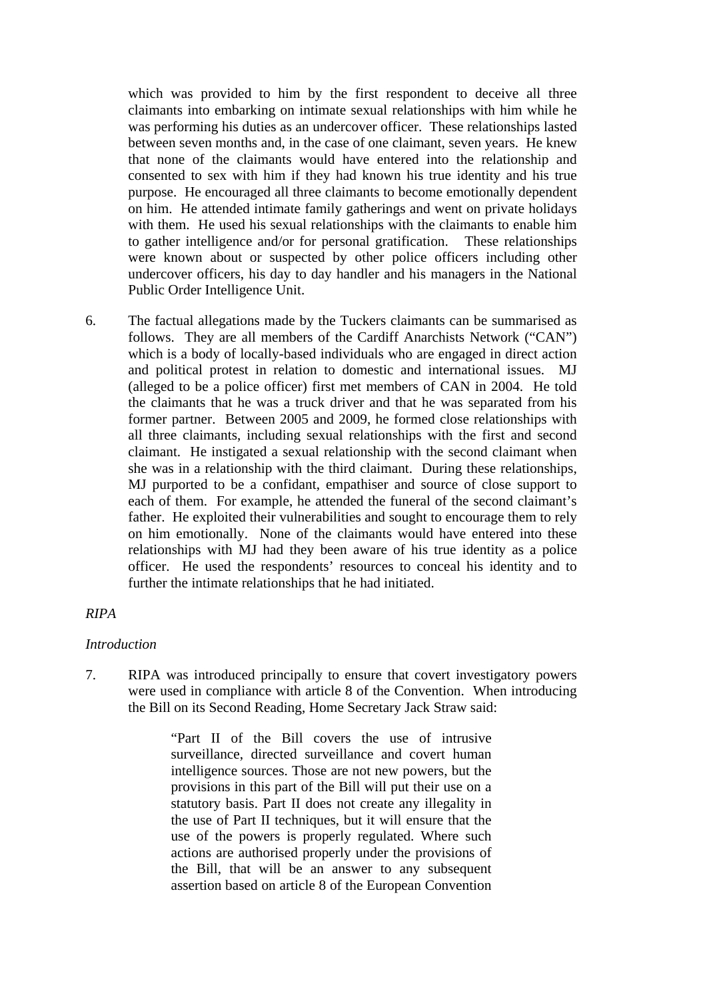which was provided to him by the first respondent to deceive all three claimants into embarking on intimate sexual relationships with him while he was performing his duties as an undercover officer. These relationships lasted between seven months and, in the case of one claimant, seven years. He knew that none of the claimants would have entered into the relationship and consented to sex with him if they had known his true identity and his true purpose. He encouraged all three claimants to become emotionally dependent on him. He attended intimate family gatherings and went on private holidays with them. He used his sexual relationships with the claimants to enable him to gather intelligence and/or for personal gratification. These relationships were known about or suspected by other police officers including other undercover officers, his day to day handler and his managers in the National Public Order Intelligence Unit.

6. The factual allegations made by the Tuckers claimants can be summarised as follows. They are all members of the Cardiff Anarchists Network ("CAN") which is a body of locally-based individuals who are engaged in direct action and political protest in relation to domestic and international issues. MJ (alleged to be a police officer) first met members of CAN in 2004. He told the claimants that he was a truck driver and that he was separated from his former partner. Between 2005 and 2009, he formed close relationships with all three claimants, including sexual relationships with the first and second claimant. He instigated a sexual relationship with the second claimant when she was in a relationship with the third claimant. During these relationships, MJ purported to be a confidant, empathiser and source of close support to each of them. For example, he attended the funeral of the second claimant's father. He exploited their vulnerabilities and sought to encourage them to rely on him emotionally. None of the claimants would have entered into these relationships with MJ had they been aware of his true identity as a police officer. He used the respondents' resources to conceal his identity and to further the intimate relationships that he had initiated.

#### *RIPA*

#### *Introduction*

7. RIPA was introduced principally to ensure that covert investigatory powers were used in compliance with article 8 of the Convention. When introducing the Bill on its Second Reading, Home Secretary Jack Straw said:

> "Part II of the Bill covers the use of intrusive surveillance, directed surveillance and covert human intelligence sources. Those are not new powers, but the provisions in this part of the Bill will put their use on a statutory basis. Part II does not create any illegality in the use of Part II techniques, but it will ensure that the use of the powers is properly regulated. Where such actions are authorised properly under the provisions of the Bill, that will be an answer to any subsequent assertion based on article 8 of the European Convention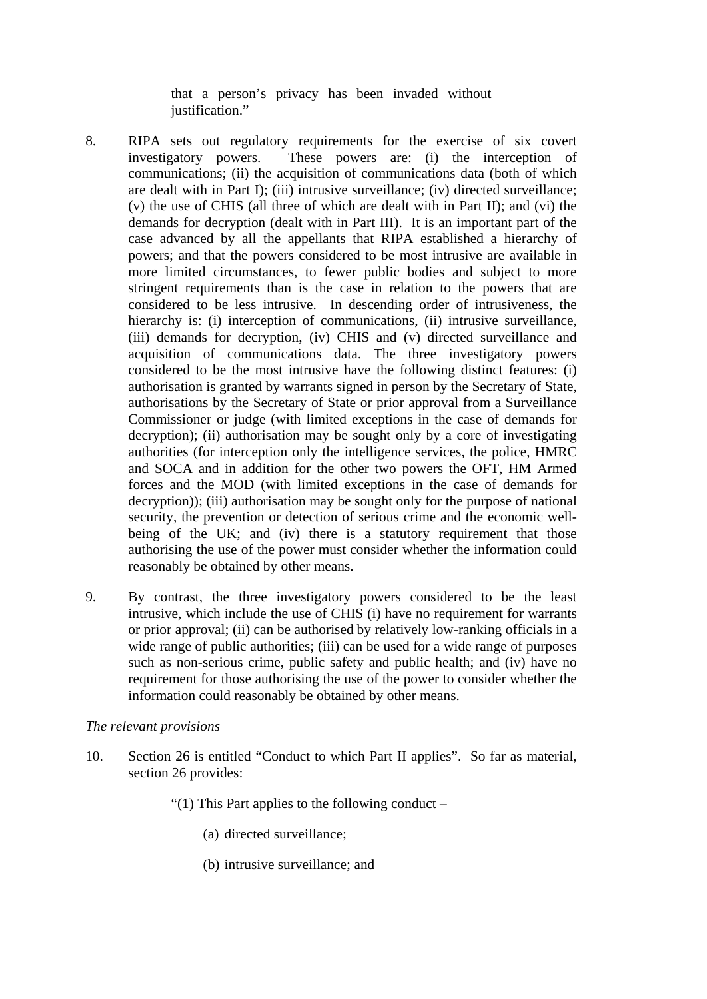that a person's privacy has been invaded without justification."

- 8. RIPA sets out regulatory requirements for the exercise of six covert investigatory powers. These powers are: (i) the interception of communications; (ii) the acquisition of communications data (both of which are dealt with in Part I); (iii) intrusive surveillance; (iv) directed surveillance; (v) the use of CHIS (all three of which are dealt with in Part II); and (vi) the demands for decryption (dealt with in Part III). It is an important part of the case advanced by all the appellants that RIPA established a hierarchy of powers; and that the powers considered to be most intrusive are available in more limited circumstances, to fewer public bodies and subject to more stringent requirements than is the case in relation to the powers that are considered to be less intrusive. In descending order of intrusiveness, the hierarchy is: (i) interception of communications, (ii) intrusive surveillance, (iii) demands for decryption, (iv) CHIS and (v) directed surveillance and acquisition of communications data. The three investigatory powers considered to be the most intrusive have the following distinct features: (i) authorisation is granted by warrants signed in person by the Secretary of State, authorisations by the Secretary of State or prior approval from a Surveillance Commissioner or judge (with limited exceptions in the case of demands for decryption); (ii) authorisation may be sought only by a core of investigating authorities (for interception only the intelligence services, the police, HMRC and SOCA and in addition for the other two powers the OFT, HM Armed forces and the MOD (with limited exceptions in the case of demands for decryption)); (iii) authorisation may be sought only for the purpose of national security, the prevention or detection of serious crime and the economic wellbeing of the UK; and (iv) there is a statutory requirement that those authorising the use of the power must consider whether the information could reasonably be obtained by other means.
- 9. By contrast, the three investigatory powers considered to be the least intrusive, which include the use of CHIS (i) have no requirement for warrants or prior approval; (ii) can be authorised by relatively low-ranking officials in a wide range of public authorities; (iii) can be used for a wide range of purposes such as non-serious crime, public safety and public health; and (iv) have no requirement for those authorising the use of the power to consider whether the information could reasonably be obtained by other means.

#### *The relevant provisions*

- 10. Section 26 is entitled "Conduct to which Part II applies". So far as material, section 26 provides:
	- "(1) This Part applies to the following conduct  $-$ 
		- (a) directed surveillance;
		- (b) intrusive surveillance; and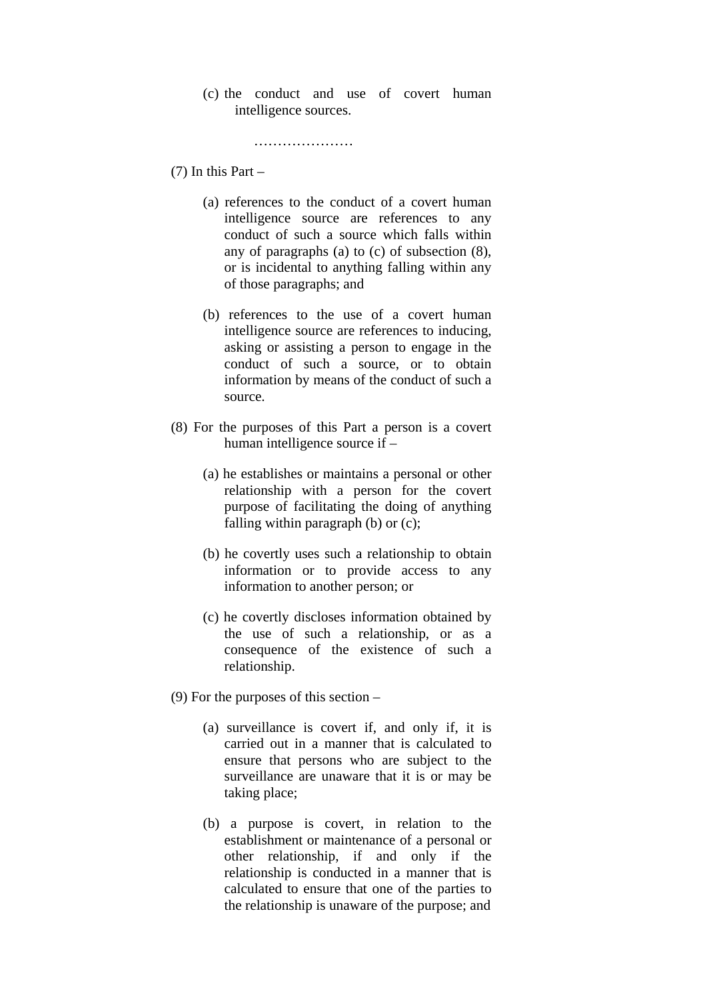(c) the conduct and use of covert human intelligence sources.

…………………

 $(7)$  In this Part –

- (a) references to the conduct of a covert human intelligence source are references to any conduct of such a source which falls within any of paragraphs (a) to (c) of subsection (8), or is incidental to anything falling within any of those paragraphs; and
- (b) references to the use of a covert human intelligence source are references to inducing, asking or assisting a person to engage in the conduct of such a source, or to obtain information by means of the conduct of such a source.
- (8) For the purposes of this Part a person is a covert human intelligence source if –
	- (a) he establishes or maintains a personal or other relationship with a person for the covert purpose of facilitating the doing of anything falling within paragraph (b) or (c);
	- (b) he covertly uses such a relationship to obtain information or to provide access to any information to another person; or
	- (c) he covertly discloses information obtained by the use of such a relationship, or as a consequence of the existence of such a relationship.
- (9) For the purposes of this section
	- (a) surveillance is covert if, and only if, it is carried out in a manner that is calculated to ensure that persons who are subject to the surveillance are unaware that it is or may be taking place;
	- (b) a purpose is covert, in relation to the establishment or maintenance of a personal or other relationship, if and only if the relationship is conducted in a manner that is calculated to ensure that one of the parties to the relationship is unaware of the purpose; and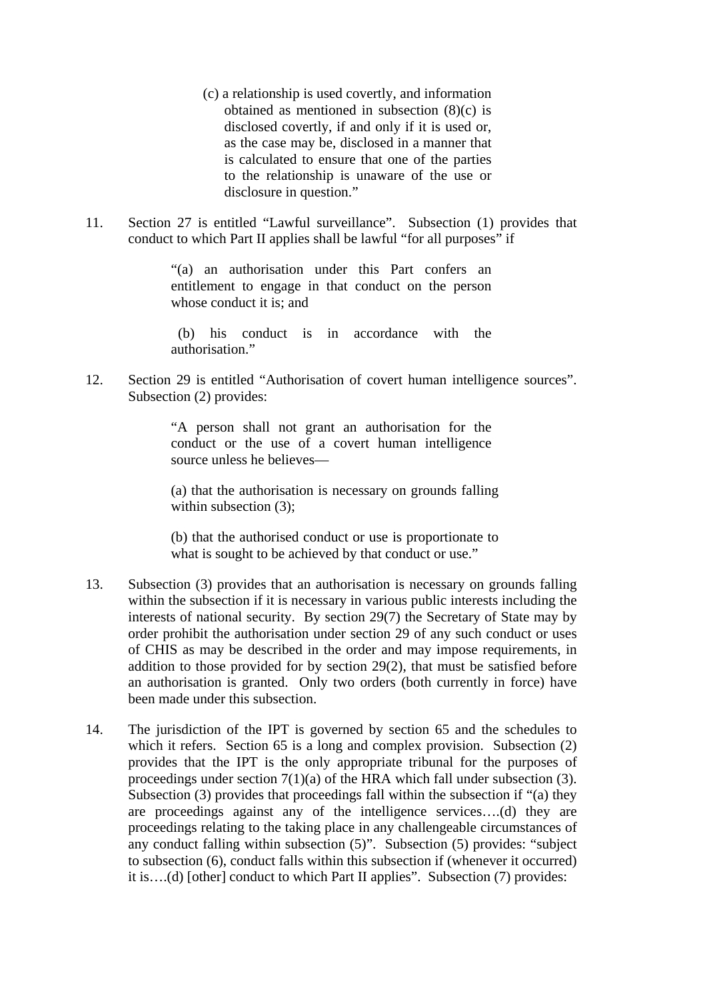- (c) a relationship is used covertly, and information obtained as mentioned in subsection (8)(c) is disclosed covertly, if and only if it is used or, as the case may be, disclosed in a manner that is calculated to ensure that one of the parties to the relationship is unaware of the use or disclosure in question."
- 11. Section 27 is entitled "Lawful surveillance". Subsection (1) provides that conduct to which Part II applies shall be lawful "for all purposes" if

"(a) an authorisation under this Part confers an entitlement to engage in that conduct on the person whose conduct it is; and

 (b) his conduct is in accordance with the authorisation."

12. Section 29 is entitled "Authorisation of covert human intelligence sources". Subsection (2) provides:

> "A person shall not grant an authorisation for the conduct or the use of a covert human intelligence source unless he believes—

(a) that the authorisation is necessary on grounds falling within subsection (3):

(b) that the authorised conduct or use is proportionate to what is sought to be achieved by that conduct or use."

- 13. Subsection (3) provides that an authorisation is necessary on grounds falling within the subsection if it is necessary in various public interests including the interests of national security. By section 29(7) the Secretary of State may by order prohibit the authorisation under section 29 of any such conduct or uses of CHIS as may be described in the order and may impose requirements, in addition to those provided for by section 29(2), that must be satisfied before an authorisation is granted. Only two orders (both currently in force) have been made under this subsection.
- 14. The jurisdiction of the IPT is governed by section 65 and the schedules to which it refers. Section 65 is a long and complex provision. Subsection (2) provides that the IPT is the only appropriate tribunal for the purposes of proceedings under section 7(1)(a) of the HRA which fall under subsection (3). Subsection (3) provides that proceedings fall within the subsection if "(a) they are proceedings against any of the intelligence services….(d) they are proceedings relating to the taking place in any challengeable circumstances of any conduct falling within subsection (5)". Subsection (5) provides: "subject to subsection (6), conduct falls within this subsection if (whenever it occurred) it is….(d) [other] conduct to which Part II applies". Subsection (7) provides: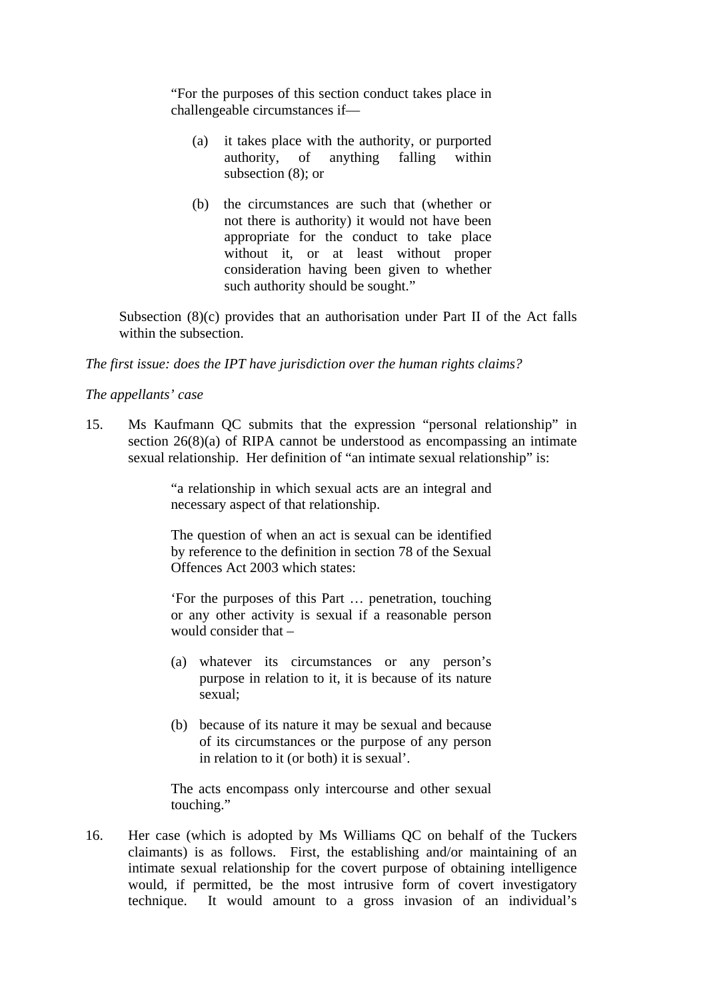"For the purposes of this section conduct takes place in challengeable circumstances if—

- (a) it takes place with the authority, or purported authority, of anything falling within subsection (8); or
- (b) the circumstances are such that (whether or not there is authority) it would not have been appropriate for the conduct to take place without it, or at least without proper consideration having been given to whether such authority should be sought."

Subsection (8)(c) provides that an authorisation under Part II of the Act falls within the subsection.

*The first issue: does the IPT have jurisdiction over the human rights claims?* 

#### *The appellants' case*

15. Ms Kaufmann QC submits that the expression "personal relationship" in section 26(8)(a) of RIPA cannot be understood as encompassing an intimate sexual relationship. Her definition of "an intimate sexual relationship" is:

> "a relationship in which sexual acts are an integral and necessary aspect of that relationship.

> The question of when an act is sexual can be identified by reference to the definition in section 78 of the Sexual Offences Act 2003 which states:

> 'For the purposes of this Part … penetration, touching or any other activity is sexual if a reasonable person would consider that –

- (a) whatever its circumstances or any person's purpose in relation to it, it is because of its nature sexual;
- (b) because of its nature it may be sexual and because of its circumstances or the purpose of any person in relation to it (or both) it is sexual'.

The acts encompass only intercourse and other sexual touching."

16. Her case (which is adopted by Ms Williams QC on behalf of the Tuckers claimants) is as follows. First, the establishing and/or maintaining of an intimate sexual relationship for the covert purpose of obtaining intelligence would, if permitted, be the most intrusive form of covert investigatory technique. It would amount to a gross invasion of an individual's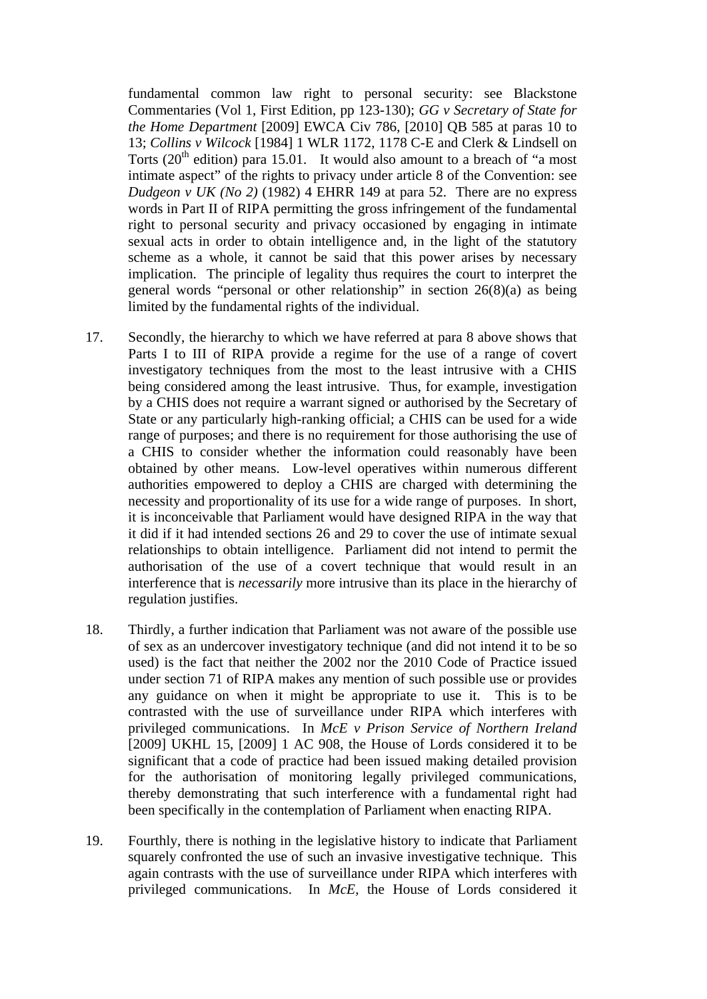fundamental common law right to personal security: see Blackstone Commentaries (Vol 1, First Edition, pp 123-130); *GG v Secretary of State for the Home Department* [2009] EWCA Civ 786, [2010] QB 585 at paras 10 to 13; *Collins v Wilcock* [1984] 1 WLR 1172, 1178 C-E and Clerk & Lindsell on Torts  $(20<sup>th</sup>$  edition) para 15.01. It would also amount to a breach of "a most" intimate aspect" of the rights to privacy under article 8 of the Convention: see *Dudgeon v UK (No 2)* (1982) 4 EHRR 149 at para 52. There are no express words in Part II of RIPA permitting the gross infringement of the fundamental right to personal security and privacy occasioned by engaging in intimate sexual acts in order to obtain intelligence and, in the light of the statutory scheme as a whole, it cannot be said that this power arises by necessary implication. The principle of legality thus requires the court to interpret the general words "personal or other relationship" in section 26(8)(a) as being limited by the fundamental rights of the individual.

- 17. Secondly, the hierarchy to which we have referred at para 8 above shows that Parts I to III of RIPA provide a regime for the use of a range of covert investigatory techniques from the most to the least intrusive with a CHIS being considered among the least intrusive. Thus, for example, investigation by a CHIS does not require a warrant signed or authorised by the Secretary of State or any particularly high-ranking official; a CHIS can be used for a wide range of purposes; and there is no requirement for those authorising the use of a CHIS to consider whether the information could reasonably have been obtained by other means. Low-level operatives within numerous different authorities empowered to deploy a CHIS are charged with determining the necessity and proportionality of its use for a wide range of purposes. In short, it is inconceivable that Parliament would have designed RIPA in the way that it did if it had intended sections 26 and 29 to cover the use of intimate sexual relationships to obtain intelligence. Parliament did not intend to permit the authorisation of the use of a covert technique that would result in an interference that is *necessarily* more intrusive than its place in the hierarchy of regulation justifies.
- 18. Thirdly, a further indication that Parliament was not aware of the possible use of sex as an undercover investigatory technique (and did not intend it to be so used) is the fact that neither the 2002 nor the 2010 Code of Practice issued under section 71 of RIPA makes any mention of such possible use or provides any guidance on when it might be appropriate to use it. This is to be contrasted with the use of surveillance under RIPA which interferes with privileged communications. In *McE v Prison Service of Northern Ireland*  [2009] UKHL 15, [2009] 1 AC 908, the House of Lords considered it to be significant that a code of practice had been issued making detailed provision for the authorisation of monitoring legally privileged communications, thereby demonstrating that such interference with a fundamental right had been specifically in the contemplation of Parliament when enacting RIPA.
- 19. Fourthly, there is nothing in the legislative history to indicate that Parliament squarely confronted the use of such an invasive investigative technique. This again contrasts with the use of surveillance under RIPA which interferes with privileged communications. In *McE,* the House of Lords considered it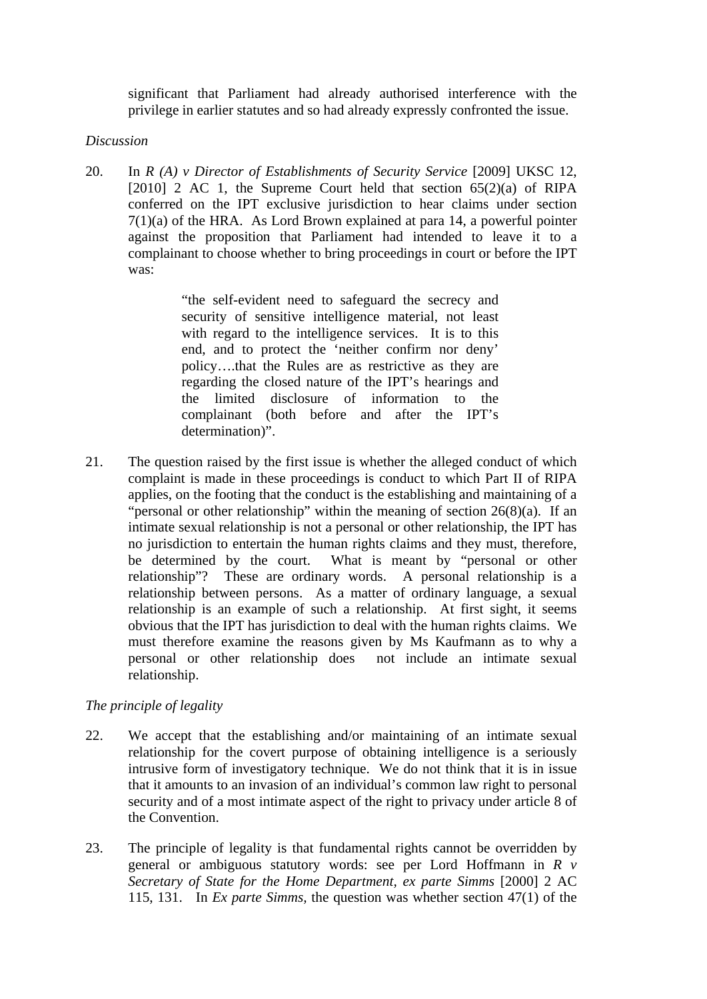significant that Parliament had already authorised interference with the privilege in earlier statutes and so had already expressly confronted the issue.

### *Discussion*

20. In *R (A) v Director of Establishments of Security Service* [2009] UKSC 12, [2010] 2 AC 1, the Supreme Court held that section  $65(2)(a)$  of RIPA conferred on the IPT exclusive jurisdiction to hear claims under section 7(1)(a) of the HRA. As Lord Brown explained at para 14, a powerful pointer against the proposition that Parliament had intended to leave it to a complainant to choose whether to bring proceedings in court or before the IPT was:

> "the self-evident need to safeguard the secrecy and security of sensitive intelligence material, not least with regard to the intelligence services. It is to this end, and to protect the 'neither confirm nor deny' policy….that the Rules are as restrictive as they are regarding the closed nature of the IPT's hearings and the limited disclosure of information to the complainant (both before and after the IPT's determination)".

21. The question raised by the first issue is whether the alleged conduct of which complaint is made in these proceedings is conduct to which Part II of RIPA applies, on the footing that the conduct is the establishing and maintaining of a "personal or other relationship" within the meaning of section  $26(8)(a)$ . If an intimate sexual relationship is not a personal or other relationship, the IPT has no jurisdiction to entertain the human rights claims and they must, therefore, be determined by the court. What is meant by "personal or other relationship"? These are ordinary words. A personal relationship is a relationship between persons. As a matter of ordinary language, a sexual relationship is an example of such a relationship. At first sight, it seems obvious that the IPT has jurisdiction to deal with the human rights claims. We must therefore examine the reasons given by Ms Kaufmann as to why a personal or other relationship does not include an intimate sexual relationship.

# *The principle of legality*

- 22. We accept that the establishing and/or maintaining of an intimate sexual relationship for the covert purpose of obtaining intelligence is a seriously intrusive form of investigatory technique. We do not think that it is in issue that it amounts to an invasion of an individual's common law right to personal security and of a most intimate aspect of the right to privacy under article 8 of the Convention.
- 23. The principle of legality is that fundamental rights cannot be overridden by general or ambiguous statutory words: see per Lord Hoffmann in *R v Secretary of State for the Home Department, ex parte Simms* [2000] 2 AC 115, 131. In *Ex parte Simms,* the question was whether section 47(1) of the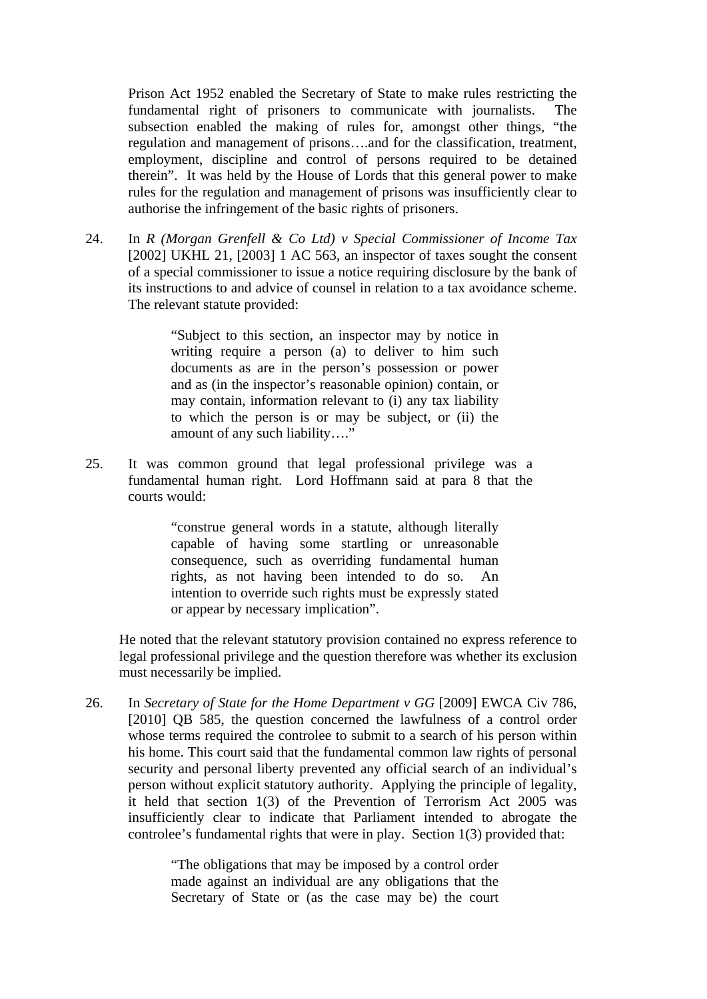Prison Act 1952 enabled the Secretary of State to make rules restricting the fundamental right of prisoners to communicate with journalists. The subsection enabled the making of rules for, amongst other things, "the regulation and management of prisons….and for the classification, treatment, employment, discipline and control of persons required to be detained therein". It was held by the House of Lords that this general power to make rules for the regulation and management of prisons was insufficiently clear to authorise the infringement of the basic rights of prisoners.

24. In *R (Morgan Grenfell & Co Ltd) v Special Commissioner of Income Tax*  [2002] UKHL 21, [2003] 1 AC 563, an inspector of taxes sought the consent of a special commissioner to issue a notice requiring disclosure by the bank of its instructions to and advice of counsel in relation to a tax avoidance scheme. The relevant statute provided:

> "Subject to this section, an inspector may by notice in writing require a person (a) to deliver to him such documents as are in the person's possession or power and as (in the inspector's reasonable opinion) contain, or may contain, information relevant to (i) any tax liability to which the person is or may be subject, or (ii) the amount of any such liability…."

25. It was common ground that legal professional privilege was a fundamental human right. Lord Hoffmann said at para 8 that the courts would:

> "construe general words in a statute, although literally capable of having some startling or unreasonable consequence, such as overriding fundamental human rights, as not having been intended to do so. An intention to override such rights must be expressly stated or appear by necessary implication".

He noted that the relevant statutory provision contained no express reference to legal professional privilege and the question therefore was whether its exclusion must necessarily be implied.

26. In *Secretary of State for the Home Department v GG* [2009] EWCA Civ 786, [2010] QB 585, the question concerned the lawfulness of a control order whose terms required the controlee to submit to a search of his person within his home. This court said that the fundamental common law rights of personal security and personal liberty prevented any official search of an individual's person without explicit statutory authority. Applying the principle of legality, it held that section 1(3) of the Prevention of Terrorism Act 2005 was insufficiently clear to indicate that Parliament intended to abrogate the controlee's fundamental rights that were in play. Section 1(3) provided that:

> "The obligations that may be imposed by a control order made against an individual are any obligations that the Secretary of State or (as the case may be) the court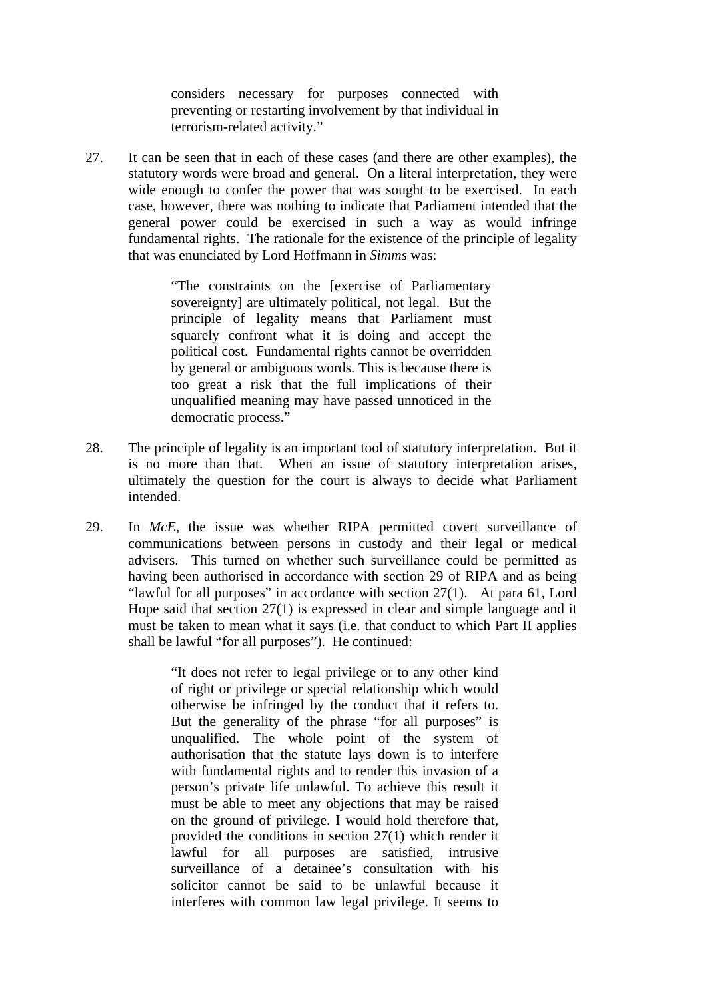considers necessary for purposes connected with preventing or restarting involvement by that individual in terrorism-related activity."

27. It can be seen that in each of these cases (and there are other examples), the statutory words were broad and general. On a literal interpretation, they were wide enough to confer the power that was sought to be exercised. In each case, however, there was nothing to indicate that Parliament intended that the general power could be exercised in such a way as would infringe fundamental rights. The rationale for the existence of the principle of legality that was enunciated by Lord Hoffmann in *Simms* was:

> "The constraints on the [exercise of Parliamentary sovereignty] are ultimately political, not legal. But the principle of legality means that Parliament must squarely confront what it is doing and accept the political cost. Fundamental rights cannot be overridden by general or ambiguous words. This is because there is too great a risk that the full implications of their unqualified meaning may have passed unnoticed in the democratic process."

- 28. The principle of legality is an important tool of statutory interpretation. But it is no more than that. When an issue of statutory interpretation arises, ultimately the question for the court is always to decide what Parliament intended.
- 29. In *McE,* the issue was whether RIPA permitted covert surveillance of communications between persons in custody and their legal or medical advisers. This turned on whether such surveillance could be permitted as having been authorised in accordance with section 29 of RIPA and as being "lawful for all purposes" in accordance with section  $27(1)$ . At para 61, Lord Hope said that section 27(1) is expressed in clear and simple language and it must be taken to mean what it says (i.e. that conduct to which Part II applies shall be lawful "for all purposes"). He continued:

"It does not refer to legal privilege or to any other kind of right or privilege or special relationship which would otherwise be infringed by the conduct that it refers to. But the generality of the phrase "for all purposes" is unqualified. The whole point of the system of authorisation that the statute lays down is to interfere with fundamental rights and to render this invasion of a person's private life unlawful. To achieve this result it must be able to meet any objections that may be raised on the ground of privilege. I would hold therefore that, provided the conditions in section 27(1) which render it lawful for all purposes are satisfied, intrusive surveillance of a detainee's consultation with his solicitor cannot be said to be unlawful because it interferes with common law legal privilege. It seems to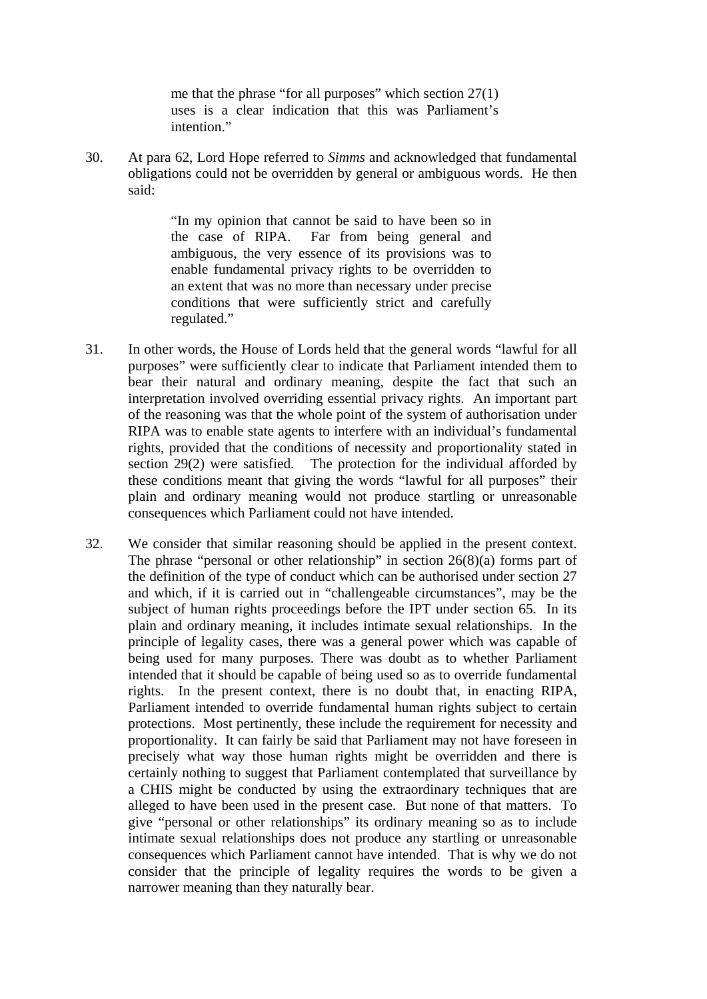me that the phrase "for all purposes" which section 27(1) uses is a clear indication that this was Parliament's intention."

30. At para 62, Lord Hope referred to *Simms* and acknowledged that fundamental obligations could not be overridden by general or ambiguous words. He then said:

> "In my opinion that cannot be said to have been so in the case of RIPA. Far from being general and ambiguous, the very essence of its provisions was to enable fundamental privacy rights to be overridden to an extent that was no more than necessary under precise conditions that were sufficiently strict and carefully regulated."

- 31. In other words, the House of Lords held that the general words "lawful for all purposes" were sufficiently clear to indicate that Parliament intended them to bear their natural and ordinary meaning, despite the fact that such an interpretation involved overriding essential privacy rights. An important part of the reasoning was that the whole point of the system of authorisation under RIPA was to enable state agents to interfere with an individual's fundamental rights, provided that the conditions of necessity and proportionality stated in section 29(2) were satisfied. The protection for the individual afforded by these conditions meant that giving the words "lawful for all purposes" their plain and ordinary meaning would not produce startling or unreasonable consequences which Parliament could not have intended.
- 32. We consider that similar reasoning should be applied in the present context. The phrase "personal or other relationship" in section  $26(8)(a)$  forms part of the definition of the type of conduct which can be authorised under section 27 and which, if it is carried out in "challengeable circumstances", may be the subject of human rights proceedings before the IPT under section 65. In its plain and ordinary meaning, it includes intimate sexual relationships. In the principle of legality cases, there was a general power which was capable of being used for many purposes. There was doubt as to whether Parliament intended that it should be capable of being used so as to override fundamental rights. In the present context, there is no doubt that, in enacting RIPA, Parliament intended to override fundamental human rights subject to certain protections. Most pertinently, these include the requirement for necessity and proportionality. It can fairly be said that Parliament may not have foreseen in precisely what way those human rights might be overridden and there is certainly nothing to suggest that Parliament contemplated that surveillance by a CHIS might be conducted by using the extraordinary techniques that are alleged to have been used in the present case. But none of that matters. To give "personal or other relationships" its ordinary meaning so as to include intimate sexual relationships does not produce any startling or unreasonable consequences which Parliament cannot have intended. That is why we do not consider that the principle of legality requires the words to be given a narrower meaning than they naturally bear.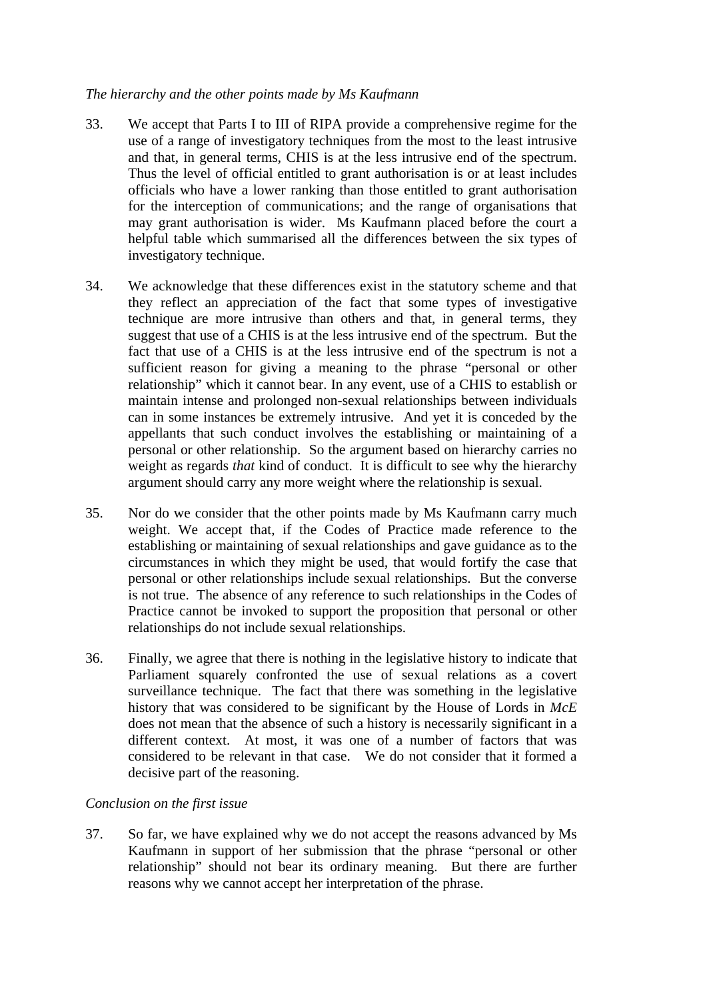# *The hierarchy and the other points made by Ms Kaufmann*

- 33. We accept that Parts I to III of RIPA provide a comprehensive regime for the use of a range of investigatory techniques from the most to the least intrusive and that, in general terms, CHIS is at the less intrusive end of the spectrum. Thus the level of official entitled to grant authorisation is or at least includes officials who have a lower ranking than those entitled to grant authorisation for the interception of communications; and the range of organisations that may grant authorisation is wider. Ms Kaufmann placed before the court a helpful table which summarised all the differences between the six types of investigatory technique.
- 34. We acknowledge that these differences exist in the statutory scheme and that they reflect an appreciation of the fact that some types of investigative technique are more intrusive than others and that, in general terms, they suggest that use of a CHIS is at the less intrusive end of the spectrum. But the fact that use of a CHIS is at the less intrusive end of the spectrum is not a sufficient reason for giving a meaning to the phrase "personal or other relationship" which it cannot bear. In any event, use of a CHIS to establish or maintain intense and prolonged non-sexual relationships between individuals can in some instances be extremely intrusive. And yet it is conceded by the appellants that such conduct involves the establishing or maintaining of a personal or other relationship. So the argument based on hierarchy carries no weight as regards *that* kind of conduct. It is difficult to see why the hierarchy argument should carry any more weight where the relationship is sexual.
- 35. Nor do we consider that the other points made by Ms Kaufmann carry much weight. We accept that, if the Codes of Practice made reference to the establishing or maintaining of sexual relationships and gave guidance as to the circumstances in which they might be used, that would fortify the case that personal or other relationships include sexual relationships. But the converse is not true. The absence of any reference to such relationships in the Codes of Practice cannot be invoked to support the proposition that personal or other relationships do not include sexual relationships.
- 36. Finally, we agree that there is nothing in the legislative history to indicate that Parliament squarely confronted the use of sexual relations as a covert surveillance technique. The fact that there was something in the legislative history that was considered to be significant by the House of Lords in *McE* does not mean that the absence of such a history is necessarily significant in a different context. At most, it was one of a number of factors that was considered to be relevant in that case. We do not consider that it formed a decisive part of the reasoning.

# *Conclusion on the first issue*

37. So far, we have explained why we do not accept the reasons advanced by Ms Kaufmann in support of her submission that the phrase "personal or other relationship" should not bear its ordinary meaning. But there are further reasons why we cannot accept her interpretation of the phrase.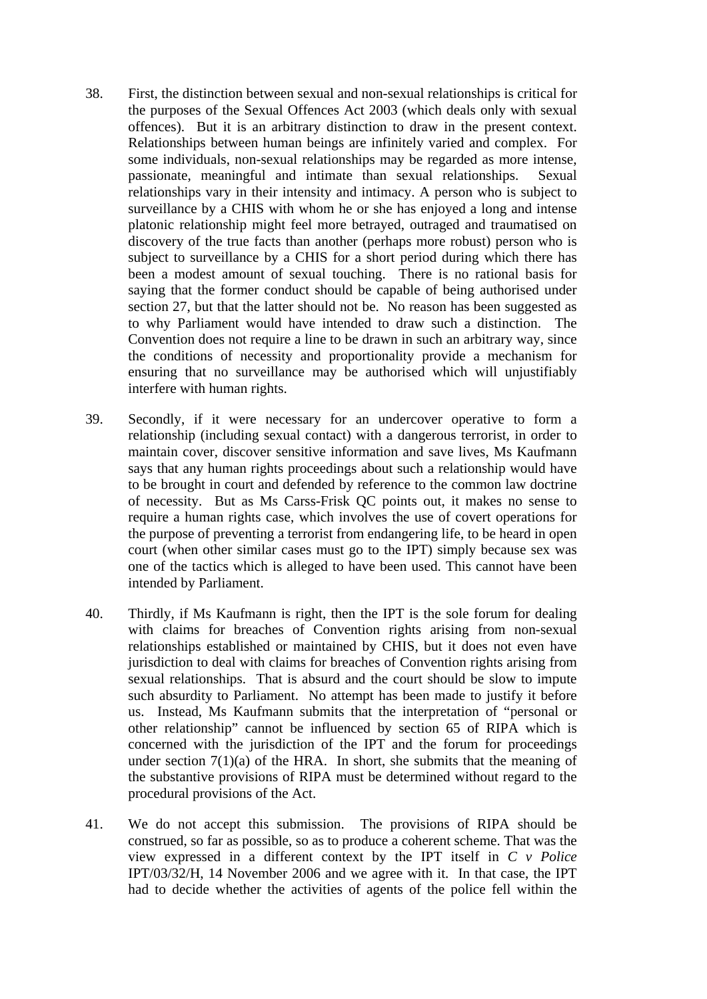- 38. First, the distinction between sexual and non-sexual relationships is critical for the purposes of the Sexual Offences Act 2003 (which deals only with sexual offences). But it is an arbitrary distinction to draw in the present context. Relationships between human beings are infinitely varied and complex. For some individuals, non-sexual relationships may be regarded as more intense, passionate, meaningful and intimate than sexual relationships. Sexual relationships vary in their intensity and intimacy. A person who is subject to surveillance by a CHIS with whom he or she has enjoyed a long and intense platonic relationship might feel more betrayed, outraged and traumatised on discovery of the true facts than another (perhaps more robust) person who is subject to surveillance by a CHIS for a short period during which there has been a modest amount of sexual touching. There is no rational basis for saying that the former conduct should be capable of being authorised under section 27, but that the latter should not be. No reason has been suggested as to why Parliament would have intended to draw such a distinction. The Convention does not require a line to be drawn in such an arbitrary way, since the conditions of necessity and proportionality provide a mechanism for ensuring that no surveillance may be authorised which will unjustifiably interfere with human rights.
- 39. Secondly, if it were necessary for an undercover operative to form a relationship (including sexual contact) with a dangerous terrorist, in order to maintain cover, discover sensitive information and save lives, Ms Kaufmann says that any human rights proceedings about such a relationship would have to be brought in court and defended by reference to the common law doctrine of necessity. But as Ms Carss-Frisk QC points out, it makes no sense to require a human rights case, which involves the use of covert operations for the purpose of preventing a terrorist from endangering life, to be heard in open court (when other similar cases must go to the IPT) simply because sex was one of the tactics which is alleged to have been used. This cannot have been intended by Parliament.
- 40. Thirdly, if Ms Kaufmann is right, then the IPT is the sole forum for dealing with claims for breaches of Convention rights arising from non-sexual relationships established or maintained by CHIS, but it does not even have jurisdiction to deal with claims for breaches of Convention rights arising from sexual relationships. That is absurd and the court should be slow to impute such absurdity to Parliament. No attempt has been made to justify it before us. Instead, Ms Kaufmann submits that the interpretation of "personal or other relationship" cannot be influenced by section 65 of RIPA which is concerned with the jurisdiction of the IPT and the forum for proceedings under section  $7(1)(a)$  of the HRA. In short, she submits that the meaning of the substantive provisions of RIPA must be determined without regard to the procedural provisions of the Act.
- 41. We do not accept this submission. The provisions of RIPA should be construed, so far as possible, so as to produce a coherent scheme. That was the view expressed in a different context by the IPT itself in *C v Police*  IPT/03/32/H, 14 November 2006 and we agree with it. In that case, the IPT had to decide whether the activities of agents of the police fell within the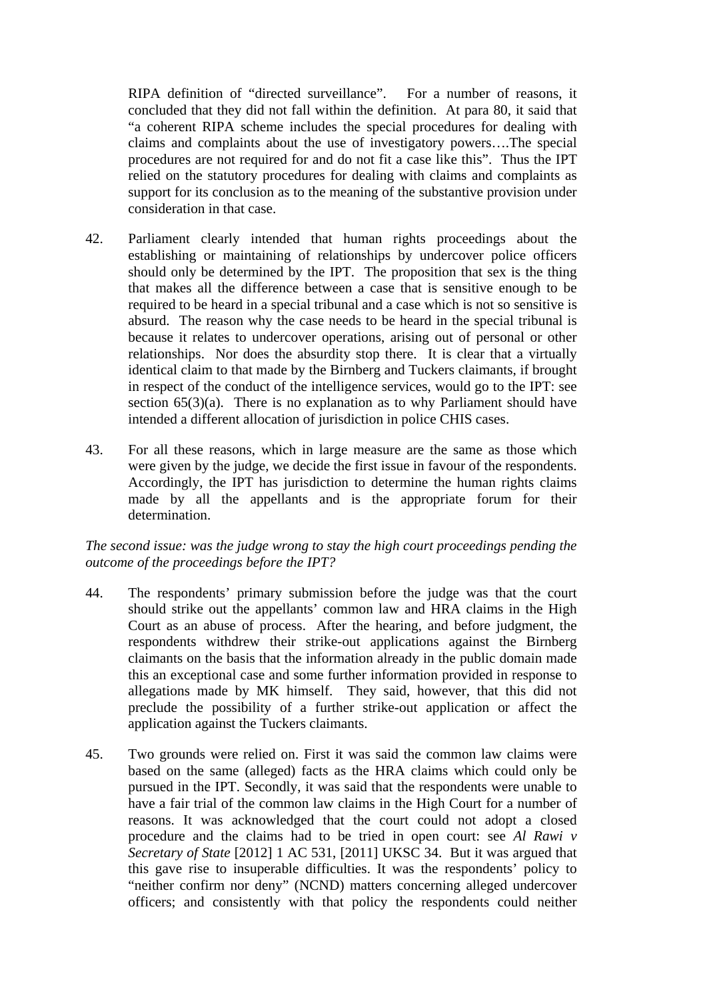RIPA definition of "directed surveillance". For a number of reasons, it concluded that they did not fall within the definition. At para 80, it said that "a coherent RIPA scheme includes the special procedures for dealing with claims and complaints about the use of investigatory powers….The special procedures are not required for and do not fit a case like this". Thus the IPT relied on the statutory procedures for dealing with claims and complaints as support for its conclusion as to the meaning of the substantive provision under consideration in that case.

- 42. Parliament clearly intended that human rights proceedings about the establishing or maintaining of relationships by undercover police officers should only be determined by the IPT. The proposition that sex is the thing that makes all the difference between a case that is sensitive enough to be required to be heard in a special tribunal and a case which is not so sensitive is absurd. The reason why the case needs to be heard in the special tribunal is because it relates to undercover operations, arising out of personal or other relationships. Nor does the absurdity stop there. It is clear that a virtually identical claim to that made by the Birnberg and Tuckers claimants, if brought in respect of the conduct of the intelligence services, would go to the IPT: see section 65(3)(a). There is no explanation as to why Parliament should have intended a different allocation of jurisdiction in police CHIS cases.
- 43. For all these reasons, which in large measure are the same as those which were given by the judge, we decide the first issue in favour of the respondents. Accordingly, the IPT has jurisdiction to determine the human rights claims made by all the appellants and is the appropriate forum for their determination.

*The second issue: was the judge wrong to stay the high court proceedings pending the outcome of the proceedings before the IPT?* 

- 44. The respondents' primary submission before the judge was that the court should strike out the appellants' common law and HRA claims in the High Court as an abuse of process. After the hearing, and before judgment, the respondents withdrew their strike-out applications against the Birnberg claimants on the basis that the information already in the public domain made this an exceptional case and some further information provided in response to allegations made by MK himself. They said, however, that this did not preclude the possibility of a further strike-out application or affect the application against the Tuckers claimants.
- 45. Two grounds were relied on. First it was said the common law claims were based on the same (alleged) facts as the HRA claims which could only be pursued in the IPT. Secondly, it was said that the respondents were unable to have a fair trial of the common law claims in the High Court for a number of reasons. It was acknowledged that the court could not adopt a closed procedure and the claims had to be tried in open court: see *Al Rawi v Secretary of State* [2012] 1 AC 531, [2011] UKSC 34. But it was argued that this gave rise to insuperable difficulties. It was the respondents' policy to "neither confirm nor deny" (NCND) matters concerning alleged undercover officers; and consistently with that policy the respondents could neither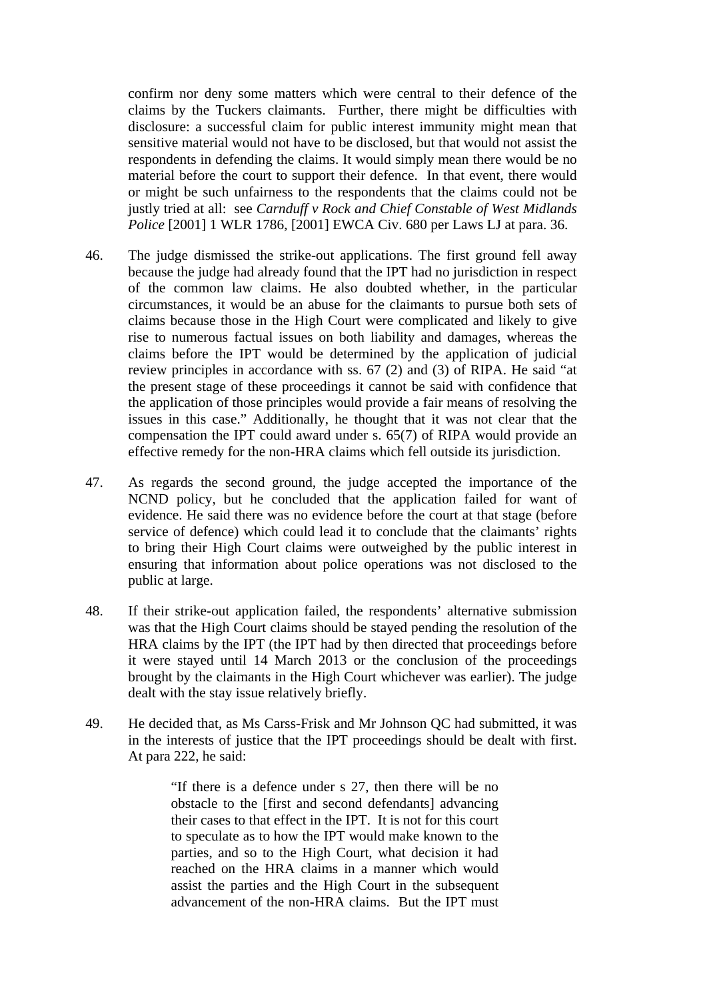confirm nor deny some matters which were central to their defence of the claims by the Tuckers claimants. Further, there might be difficulties with disclosure: a successful claim for public interest immunity might mean that sensitive material would not have to be disclosed, but that would not assist the respondents in defending the claims. It would simply mean there would be no material before the court to support their defence. In that event, there would or might be such unfairness to the respondents that the claims could not be justly tried at all: see *Carnduff v Rock and Chief Constable of West Midlands Police* [2001] 1 WLR 1786, [2001] EWCA Civ. 680 per Laws LJ at para. 36.

- 46. The judge dismissed the strike-out applications. The first ground fell away because the judge had already found that the IPT had no jurisdiction in respect of the common law claims. He also doubted whether, in the particular circumstances, it would be an abuse for the claimants to pursue both sets of claims because those in the High Court were complicated and likely to give rise to numerous factual issues on both liability and damages, whereas the claims before the IPT would be determined by the application of judicial review principles in accordance with ss. 67 (2) and (3) of RIPA. He said "at the present stage of these proceedings it cannot be said with confidence that the application of those principles would provide a fair means of resolving the issues in this case." Additionally, he thought that it was not clear that the compensation the IPT could award under s. 65(7) of RIPA would provide an effective remedy for the non-HRA claims which fell outside its jurisdiction.
- 47. As regards the second ground, the judge accepted the importance of the NCND policy, but he concluded that the application failed for want of evidence. He said there was no evidence before the court at that stage (before service of defence) which could lead it to conclude that the claimants' rights to bring their High Court claims were outweighed by the public interest in ensuring that information about police operations was not disclosed to the public at large.
- 48. If their strike-out application failed, the respondents' alternative submission was that the High Court claims should be stayed pending the resolution of the HRA claims by the IPT (the IPT had by then directed that proceedings before it were stayed until 14 March 2013 or the conclusion of the proceedings brought by the claimants in the High Court whichever was earlier). The judge dealt with the stay issue relatively briefly.
- 49. He decided that, as Ms Carss-Frisk and Mr Johnson QC had submitted, it was in the interests of justice that the IPT proceedings should be dealt with first. At para 222, he said:

"If there is a defence under s 27, then there will be no obstacle to the [first and second defendants] advancing their cases to that effect in the IPT. It is not for this court to speculate as to how the IPT would make known to the parties, and so to the High Court, what decision it had reached on the HRA claims in a manner which would assist the parties and the High Court in the subsequent advancement of the non-HRA claims. But the IPT must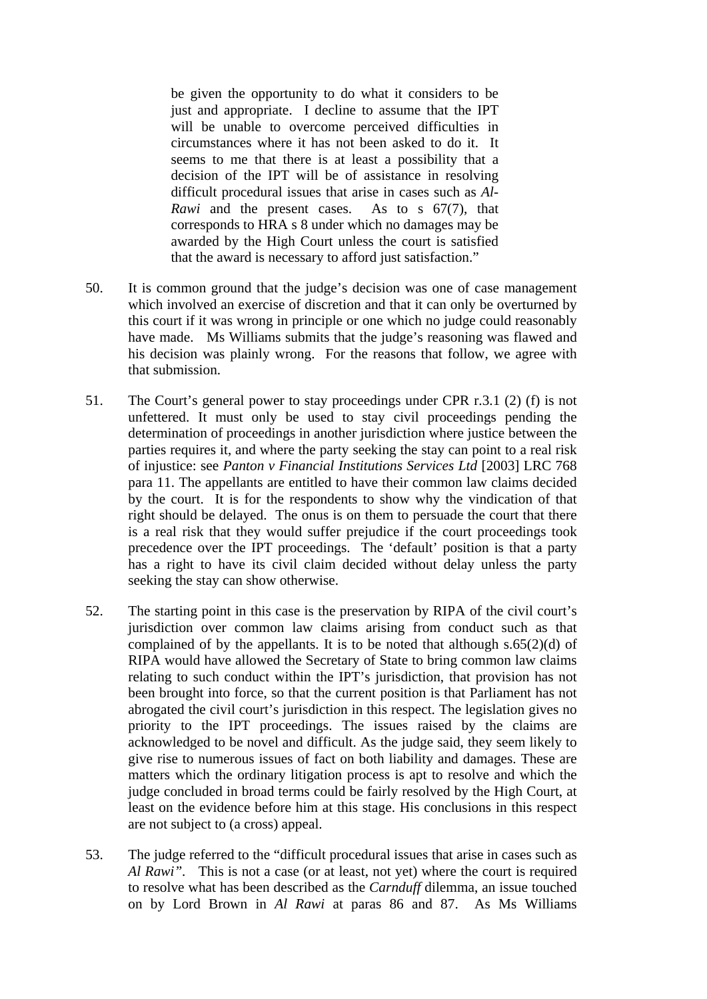be given the opportunity to do what it considers to be just and appropriate. I decline to assume that the IPT will be unable to overcome perceived difficulties in circumstances where it has not been asked to do it. It seems to me that there is at least a possibility that a decision of the IPT will be of assistance in resolving difficult procedural issues that arise in cases such as *Al-Rawi* and the present cases. As to s 67(7), that corresponds to HRA s 8 under which no damages may be awarded by the High Court unless the court is satisfied that the award is necessary to afford just satisfaction."

- 50. It is common ground that the judge's decision was one of case management which involved an exercise of discretion and that it can only be overturned by this court if it was wrong in principle or one which no judge could reasonably have made. Ms Williams submits that the judge's reasoning was flawed and his decision was plainly wrong. For the reasons that follow, we agree with that submission.
- 51. The Court's general power to stay proceedings under CPR r.3.1 (2) (f) is not unfettered. It must only be used to stay civil proceedings pending the determination of proceedings in another jurisdiction where justice between the parties requires it, and where the party seeking the stay can point to a real risk of injustice: see *Panton v Financial Institutions Services Ltd* [2003] LRC 768 para 11. The appellants are entitled to have their common law claims decided by the court. It is for the respondents to show why the vindication of that right should be delayed. The onus is on them to persuade the court that there is a real risk that they would suffer prejudice if the court proceedings took precedence over the IPT proceedings. The 'default' position is that a party has a right to have its civil claim decided without delay unless the party seeking the stay can show otherwise.
- 52. The starting point in this case is the preservation by RIPA of the civil court's jurisdiction over common law claims arising from conduct such as that complained of by the appellants. It is to be noted that although s.65(2)(d) of RIPA would have allowed the Secretary of State to bring common law claims relating to such conduct within the IPT's jurisdiction, that provision has not been brought into force, so that the current position is that Parliament has not abrogated the civil court's jurisdiction in this respect. The legislation gives no priority to the IPT proceedings. The issues raised by the claims are acknowledged to be novel and difficult. As the judge said, they seem likely to give rise to numerous issues of fact on both liability and damages. These are matters which the ordinary litigation process is apt to resolve and which the judge concluded in broad terms could be fairly resolved by the High Court, at least on the evidence before him at this stage. His conclusions in this respect are not subject to (a cross) appeal.
- 53. The judge referred to the "difficult procedural issues that arise in cases such as *Al Rawi".* This is not a case (or at least, not yet) where the court is required to resolve what has been described as the *Carnduff* dilemma, an issue touched on by Lord Brown in *Al Rawi* at paras 86 and 87. As Ms Williams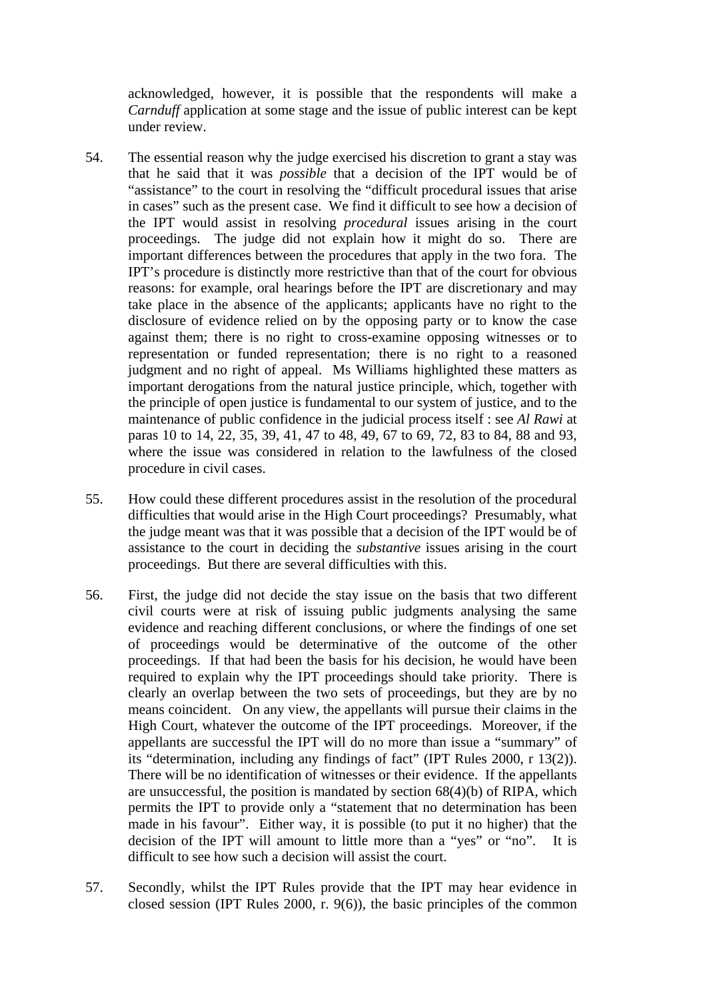acknowledged, however, it is possible that the respondents will make a *Carnduff* application at some stage and the issue of public interest can be kept under review.

- 54. The essential reason why the judge exercised his discretion to grant a stay was that he said that it was *possible* that a decision of the IPT would be of "assistance" to the court in resolving the "difficult procedural issues that arise in cases" such as the present case. We find it difficult to see how a decision of the IPT would assist in resolving *procedural* issues arising in the court proceedings. The judge did not explain how it might do so. There are important differences between the procedures that apply in the two fora. The IPT's procedure is distinctly more restrictive than that of the court for obvious reasons: for example, oral hearings before the IPT are discretionary and may take place in the absence of the applicants; applicants have no right to the disclosure of evidence relied on by the opposing party or to know the case against them; there is no right to cross-examine opposing witnesses or to representation or funded representation; there is no right to a reasoned judgment and no right of appeal. Ms Williams highlighted these matters as important derogations from the natural justice principle, which, together with the principle of open justice is fundamental to our system of justice, and to the maintenance of public confidence in the judicial process itself : see *Al Rawi* at paras 10 to 14, 22, 35, 39, 41, 47 to 48, 49, 67 to 69, 72, 83 to 84, 88 and 93, where the issue was considered in relation to the lawfulness of the closed procedure in civil cases.
- 55. How could these different procedures assist in the resolution of the procedural difficulties that would arise in the High Court proceedings? Presumably, what the judge meant was that it was possible that a decision of the IPT would be of assistance to the court in deciding the *substantive* issues arising in the court proceedings. But there are several difficulties with this.
- 56. First, the judge did not decide the stay issue on the basis that two different civil courts were at risk of issuing public judgments analysing the same evidence and reaching different conclusions, or where the findings of one set of proceedings would be determinative of the outcome of the other proceedings. If that had been the basis for his decision, he would have been required to explain why the IPT proceedings should take priority. There is clearly an overlap between the two sets of proceedings, but they are by no means coincident. On any view, the appellants will pursue their claims in the High Court, whatever the outcome of the IPT proceedings. Moreover, if the appellants are successful the IPT will do no more than issue a "summary" of its "determination, including any findings of fact" (IPT Rules 2000, r 13(2)). There will be no identification of witnesses or their evidence. If the appellants are unsuccessful, the position is mandated by section 68(4)(b) of RIPA, which permits the IPT to provide only a "statement that no determination has been made in his favour". Either way, it is possible (to put it no higher) that the decision of the IPT will amount to little more than a "yes" or "no". It is difficult to see how such a decision will assist the court.
- 57. Secondly, whilst the IPT Rules provide that the IPT may hear evidence in closed session (IPT Rules 2000, r. 9(6)), the basic principles of the common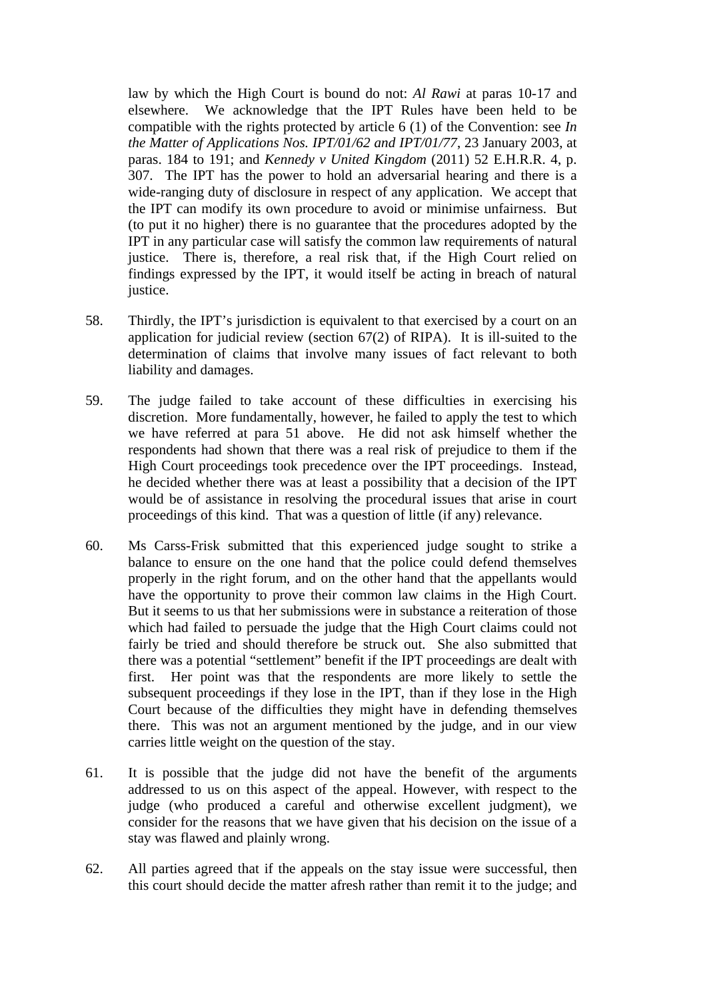law by which the High Court is bound do not: *Al Rawi* at paras 10-17 and elsewhere. We acknowledge that the IPT Rules have been held to be compatible with the rights protected by article 6 (1) of the Convention: see *In the Matter of Applications Nos. IPT/01/62 and IPT/01/77*, 23 January 2003, at paras. 184 to 191; and *Kennedy v United Kingdom* (2011) 52 E.H.R.R. 4, p. 307. The IPT has the power to hold an adversarial hearing and there is a wide-ranging duty of disclosure in respect of any application. We accept that the IPT can modify its own procedure to avoid or minimise unfairness. But (to put it no higher) there is no guarantee that the procedures adopted by the IPT in any particular case will satisfy the common law requirements of natural justice. There is, therefore, a real risk that, if the High Court relied on findings expressed by the IPT, it would itself be acting in breach of natural justice.

- 58. Thirdly, the IPT's jurisdiction is equivalent to that exercised by a court on an application for judicial review (section 67(2) of RIPA). It is ill-suited to the determination of claims that involve many issues of fact relevant to both liability and damages.
- 59. The judge failed to take account of these difficulties in exercising his discretion. More fundamentally, however, he failed to apply the test to which we have referred at para 51 above. He did not ask himself whether the respondents had shown that there was a real risk of prejudice to them if the High Court proceedings took precedence over the IPT proceedings. Instead, he decided whether there was at least a possibility that a decision of the IPT would be of assistance in resolving the procedural issues that arise in court proceedings of this kind. That was a question of little (if any) relevance.
- 60. Ms Carss-Frisk submitted that this experienced judge sought to strike a balance to ensure on the one hand that the police could defend themselves properly in the right forum, and on the other hand that the appellants would have the opportunity to prove their common law claims in the High Court. But it seems to us that her submissions were in substance a reiteration of those which had failed to persuade the judge that the High Court claims could not fairly be tried and should therefore be struck out. She also submitted that there was a potential "settlement" benefit if the IPT proceedings are dealt with first. Her point was that the respondents are more likely to settle the subsequent proceedings if they lose in the IPT, than if they lose in the High Court because of the difficulties they might have in defending themselves there. This was not an argument mentioned by the judge, and in our view carries little weight on the question of the stay.
- 61. It is possible that the judge did not have the benefit of the arguments addressed to us on this aspect of the appeal. However, with respect to the judge (who produced a careful and otherwise excellent judgment), we consider for the reasons that we have given that his decision on the issue of a stay was flawed and plainly wrong.
- 62. All parties agreed that if the appeals on the stay issue were successful, then this court should decide the matter afresh rather than remit it to the judge; and